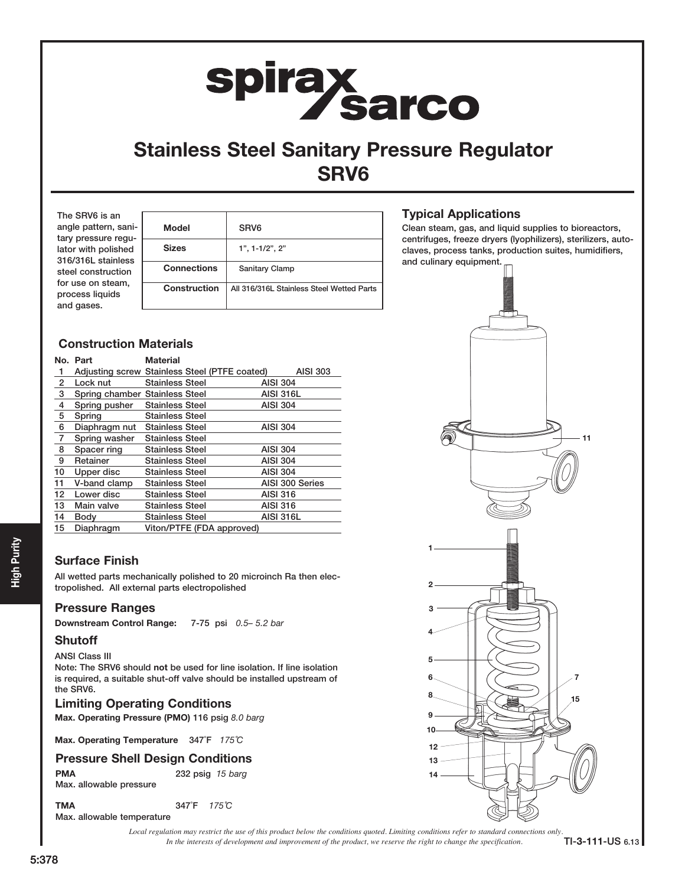# spirax<br>Sarco

# Stainless Steel Sanitary Pressure Regulator SRV6

The SRV6 is an angle pattern, sanitary pressure regulator with polished 316/316L stainless steel construction for use on steam, process liquids and gases.

| <b>Model</b>        | SRV <sub>6</sub>                          |  |  |  |
|---------------------|-------------------------------------------|--|--|--|
| <b>Sizes</b>        | $1", 1 - 1/2", 2"$                        |  |  |  |
| <b>Connections</b>  | Sanitary Clamp                            |  |  |  |
| <b>Construction</b> | All 316/316L Stainless Steel Wetted Parts |  |  |  |
|                     |                                           |  |  |  |

# Construction Materials

|                | No. Part                       | <b>Material</b>                               |                  |
|----------------|--------------------------------|-----------------------------------------------|------------------|
| 1              |                                | Adjusting screw Stainless Steel (PTFE coated) | <b>AISI 303</b>  |
| $\overline{2}$ | Lock nut                       | <b>Stainless Steel</b>                        | <b>AISI 304</b>  |
| 3              | Spring chamber Stainless Steel |                                               | <b>AISI 316L</b> |
| 4              | Spring pusher                  | <b>Stainless Steel</b>                        | <b>AISI 304</b>  |
| 5              | Spring                         | <b>Stainless Steel</b>                        |                  |
| 6              | Diaphragm nut                  | <b>Stainless Steel</b>                        | <b>AISI 304</b>  |
| 7              | Spring washer                  | <b>Stainless Steel</b>                        |                  |
| 8              | Spacer ring                    | <b>Stainless Steel</b>                        | <b>AISI 304</b>  |
| 9              | Retainer                       | <b>Stainless Steel</b>                        | <b>AISI 304</b>  |
| 10             | Upper disc                     | <b>Stainless Steel</b>                        | <b>AISI 304</b>  |
| 11             | V-band clamp                   | <b>Stainless Steel</b>                        | AISI 300 Series  |
| 12             | Lower disc                     | <b>Stainless Steel</b>                        | <b>AISI 316</b>  |
| 13             | Main valve                     | <b>Stainless Steel</b>                        | <b>AISI 316</b>  |
| 14             | Body                           | <b>Stainless Steel</b>                        | <b>AISI 316L</b> |
| 15             | Diaphragm                      | Viton/PTFE (FDA approved)                     |                  |

# Surface Finish

All wetted parts mechanically polished to 20 microinch Ra then electropolished. All external parts electropolished <sup>2</sup>

# Pressure Ranges

Downstream Control Range: 7-75 psi 0.5– 5.2 bar

# **Shutoff**

ANSI Class III Note: The SRV6 should not be used for line isolation. If line isolation is required, a suitable shut-off valve should be installed upstream of the SRV6.

# Limiting Operating Conditions

Max. Operating Pressure (PMO) 116 psig 8.0 barg

Max. Operating Temperature 347°F 175°C

# Pressure Shell Design Conditions

PMA 232 psig 15 barg Max. allowable pressure

TMA 347°F 175℃ Max. allowable temperature

> *In the interests of development and improvement of the product, we reserve the right to change the specification. Local regulation may restrict the use of this product below the conditions quoted. Limiting conditions refer to standard connections only.*

Typical Applications

Clean steam, gas, and liquid supplies to bioreactors, centrifuges, freeze dryers (lyophilizers), sterilizers, autoclaves, process tanks, production suites, humidifiers, and culinary equipment.